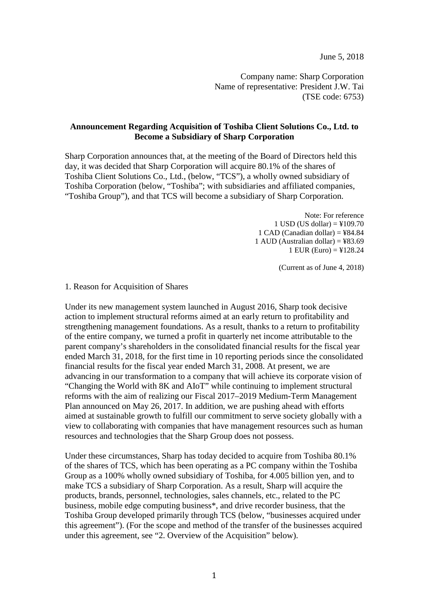June 5, 2018

Company name: Sharp Corporation Name of representative: President J.W. Tai (TSE code: 6753)

# **Announcement Regarding Acquisition of Toshiba Client Solutions Co., Ltd. to Become a Subsidiary of Sharp Corporation**

Sharp Corporation announces that, at the meeting of the Board of Directors held this day, it was decided that Sharp Corporation will acquire 80.1% of the shares of Toshiba Client Solutions Co., Ltd., (below, "TCS"), a wholly owned subsidiary of Toshiba Corporation (below, "Toshiba"; with subsidiaries and affiliated companies, "Toshiba Group"), and that TCS will become a subsidiary of Sharp Corporation.

> Note: For reference 1 USD (US dollar) =  $\frac{4109.70}{ }$ 1 CAD (Canadian dollar)  $=$  ¥84.84 1 AUD (Australian dollar) =  $\text{\textless}83.69$ 1 EUR (Euro) =  $\frac{1}{2}$ 128.24

> > (Current as of June 4, 2018)

#### 1. Reason for Acquisition of Shares

Under its new management system launched in August 2016, Sharp took decisive action to implement structural reforms aimed at an early return to profitability and strengthening management foundations. As a result, thanks to a return to profitability of the entire company, we turned a profit in quarterly net income attributable to the parent company's shareholders in the consolidated financial results for the fiscal year ended March 31, 2018, for the first time in 10 reporting periods since the consolidated financial results for the fiscal year ended March 31, 2008. At present, we are advancing in our transformation to a company that will achieve its corporate vision of "Changing the World with 8K and AIoT" while continuing to implement structural reforms with the aim of realizing our Fiscal 2017–2019 Medium-Term Management Plan announced on May 26, 2017. In addition, we are pushing ahead with efforts aimed at sustainable growth to fulfill our commitment to serve society globally with a view to collaborating with companies that have management resources such as human resources and technologies that the Sharp Group does not possess.

Under these circumstances, Sharp has today decided to acquire from Toshiba 80.1% of the shares of TCS, which has been operating as a PC company within the Toshiba Group as a 100% wholly owned subsidiary of Toshiba, for 4.005 billion yen, and to make TCS a subsidiary of Sharp Corporation. As a result, Sharp will acquire the products, brands, personnel, technologies, sales channels, etc., related to the PC business, mobile edge computing business\*, and drive recorder business, that the Toshiba Group developed primarily through TCS (below, "businesses acquired under this agreement"). (For the scope and method of the transfer of the businesses acquired under this agreement, see "2. Overview of the Acquisition" below).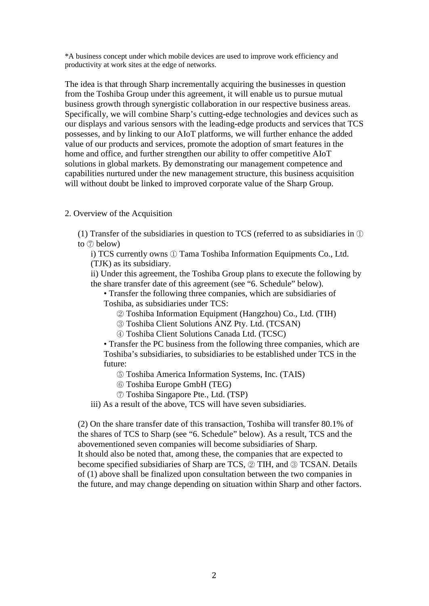\*A business concept under which mobile devices are used to improve work efficiency and productivity at work sites at the edge of networks.

The idea is that through Sharp incrementally acquiring the businesses in question from the Toshiba Group under this agreement, it will enable us to pursue mutual business growth through synergistic collaboration in our respective business areas. Specifically, we will combine Sharp's cutting-edge technologies and devices such as our displays and various sensors with the leading-edge products and services that TCS possesses, and by linking to our AIoT platforms, we will further enhance the added value of our products and services, promote the adoption of smart features in the home and office, and further strengthen our ability to offer competitive AIoT solutions in global markets. By demonstrating our management competence and capabilities nurtured under the new management structure, this business acquisition will without doubt be linked to improved corporate value of the Sharp Group.

# 2. Overview of the Acquisition

(1) Transfer of the subsidiaries in question to TCS (referred to as subsidiaries in ① to ⑦ below)

i) TCS currently owns ① Tama Toshiba Information Equipments Co., Ltd. (TJK) as its subsidiary.

ii) Under this agreement, the Toshiba Group plans to execute the following by the share transfer date of this agreement (see "6. Schedule" below).

• Transfer the following three companies, which are subsidiaries of Toshiba, as subsidiaries under TCS:

- ② Toshiba Information Equipment (Hangzhou) Co., Ltd. (TIH)
- ③ Toshiba Client Solutions ANZ Pty. Ltd. (TCSAN)

④ Toshiba Client Solutions Canada Ltd. (TCSC)

• Transfer the PC business from the following three companies, which are Toshiba's subsidiaries, to subsidiaries to be established under TCS in the future:

⑤ Toshiba America Information Systems, Inc. (TAIS)

- ⑥ Toshiba Europe GmbH (TEG)
- ⑦ Toshiba Singapore Pte., Ltd. (TSP)

iii) As a result of the above, TCS will have seven subsidiaries.

(2) On the share transfer date of this transaction, Toshiba will transfer 80.1% of the shares of TCS to Sharp (see "6. Schedule" below). As a result, TCS and the abovementioned seven companies will become subsidiaries of Sharp. It should also be noted that, among these, the companies that are expected to become specified subsidiaries of Sharp are TCS, ② TIH, and ③ TCSAN. Details of (1) above shall be finalized upon consultation between the two companies in the future, and may change depending on situation within Sharp and other factors.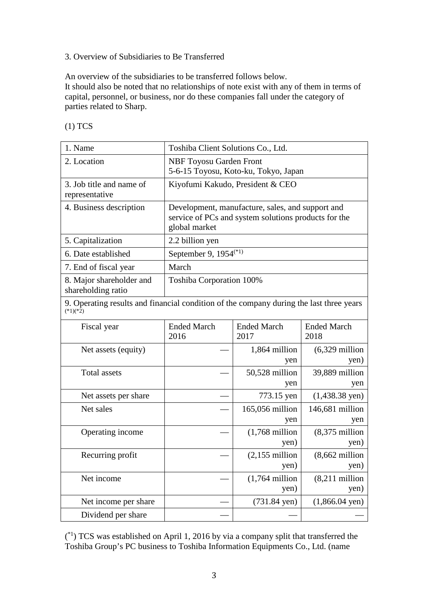# 3. Overview of Subsidiaries to Be Transferred

An overview of the subsidiaries to be transferred follows below. It should also be noted that no relationships of note exist with any of them in terms of capital, personnel, or business, nor do these companies fall under the category of parties related to Sharp.

| 1. Name                                                                                               | Toshiba Client Solutions Co., Ltd.                                                                                        |                                   |                            |  |
|-------------------------------------------------------------------------------------------------------|---------------------------------------------------------------------------------------------------------------------------|-----------------------------------|----------------------------|--|
| 2. Location                                                                                           | <b>NBF Toyosu Garden Front</b><br>5-6-15 Toyosu, Koto-ku, Tokyo, Japan                                                    |                                   |                            |  |
| 3. Job title and name of<br>representative                                                            | Kiyofumi Kakudo, President & CEO                                                                                          |                                   |                            |  |
| 4. Business description                                                                               | Development, manufacture, sales, and support and<br>service of PCs and system solutions products for the<br>global market |                                   |                            |  |
| 5. Capitalization                                                                                     | 2.2 billion yen                                                                                                           |                                   |                            |  |
| 6. Date established                                                                                   | September 9, 1954 <sup>(*1)</sup>                                                                                         |                                   |                            |  |
| 7. End of fiscal year                                                                                 | March                                                                                                                     |                                   |                            |  |
| 8. Major shareholder and<br>shareholding ratio                                                        | <b>Toshiba Corporation 100%</b>                                                                                           |                                   |                            |  |
| 9. Operating results and financial condition of the company during the last three years<br>$(*1)(*2)$ |                                                                                                                           |                                   |                            |  |
| Fiscal year                                                                                           | <b>Ended March</b><br>2016                                                                                                | <b>Ended March</b><br>2017        | <b>Ended March</b><br>2018 |  |
| Net assets (equity)                                                                                   |                                                                                                                           | 1,864 million<br>yen              | $(6,329$ million<br>yen)   |  |
| <b>Total assets</b>                                                                                   |                                                                                                                           | 50,528 million<br>yen             | 39,889 million<br>yen      |  |
| Net assets per share                                                                                  |                                                                                                                           | 773.15 yen                        | $(1,438.38 \text{ yen})$   |  |
| Net sales                                                                                             |                                                                                                                           | 165,056 million<br>yen            | 146,681 million<br>yen     |  |
| Operating income                                                                                      |                                                                                                                           | $(1,768 \text{ million})$<br>yen) | $(8,375$ million<br>yen)   |  |
| Recurring profit                                                                                      |                                                                                                                           | $(2,155$ million<br>yen)          | $(8,662$ million<br>yen)   |  |
| Net income                                                                                            |                                                                                                                           | $(1,764$ million<br>yen)          | $(8,211$ million<br>yen)   |  |
| Net income per share                                                                                  |                                                                                                                           | $(731.84 \text{ yen})$            | $(1,866.04 \text{ yen})$   |  |
| Dividend per share                                                                                    |                                                                                                                           |                                   |                            |  |

 $(1)$  TCS was established on April 1, 2016 by via a company split that transferred the Toshiba Group's PC business to Toshiba Information Equipments Co., Ltd. (name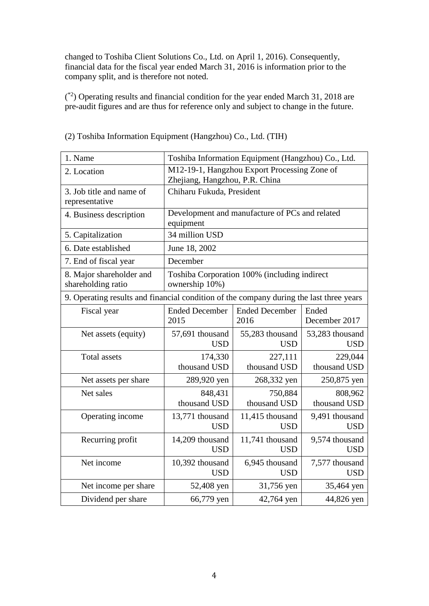changed to Toshiba Client Solutions Co., Ltd. on April 1, 2016). Consequently, financial data for the fiscal year ended March 31, 2016 is information prior to the company split, and is therefore not noted.

 $(2)$  Operating results and financial condition for the year ended March 31, 2018 are pre-audit figures and are thus for reference only and subject to change in the future.

| 1. Name                                                                                 | Toshiba Information Equipment (Hangzhou) Co., Ltd.                             |                               |                               |  |
|-----------------------------------------------------------------------------------------|--------------------------------------------------------------------------------|-------------------------------|-------------------------------|--|
| 2. Location                                                                             | M12-19-1, Hangzhou Export Processing Zone of<br>Zhejiang, Hangzhou, P.R. China |                               |                               |  |
| 3. Job title and name of<br>representative                                              | Chiharu Fukuda, President                                                      |                               |                               |  |
| 4. Business description                                                                 | Development and manufacture of PCs and related<br>equipment                    |                               |                               |  |
| 5. Capitalization                                                                       | 34 million USD                                                                 |                               |                               |  |
| 6. Date established                                                                     | June 18, 2002                                                                  |                               |                               |  |
| 7. End of fiscal year                                                                   | December                                                                       |                               |                               |  |
| 8. Major shareholder and<br>shareholding ratio                                          | Toshiba Corporation 100% (including indirect<br>ownership 10%)                 |                               |                               |  |
| 9. Operating results and financial condition of the company during the last three years |                                                                                |                               |                               |  |
| Fiscal year                                                                             | <b>Ended December</b><br>2015                                                  | <b>Ended December</b><br>2016 | Ended<br>December 2017        |  |
| Net assets (equity)                                                                     | 57,691 thousand<br><b>USD</b>                                                  | 55,283 thousand<br><b>USD</b> | 53,283 thousand<br><b>USD</b> |  |
| <b>Total assets</b>                                                                     | 174,330<br>thousand USD                                                        | 227,111<br>thousand USD       | 229,044<br>thousand USD       |  |
| Net assets per share                                                                    | 289,920 yen                                                                    | 268,332 yen                   | 250,875 yen                   |  |
| Net sales                                                                               | 848,431<br>thousand USD                                                        | 750,884<br>thousand USD       | 808,962<br>thousand USD       |  |
| Operating income                                                                        | 13,771 thousand<br><b>USD</b>                                                  | 11,415 thousand<br><b>USD</b> | 9,491 thousand<br><b>USD</b>  |  |
| Recurring profit                                                                        | 14,209 thousand<br><b>USD</b>                                                  | 11,741 thousand<br><b>USD</b> | 9,574 thousand<br><b>USD</b>  |  |
| Net income                                                                              | 10,392 thousand<br><b>USD</b>                                                  | 6,945 thousand<br><b>USD</b>  | 7,577 thousand<br><b>USD</b>  |  |
| Net income per share                                                                    | 52,408 yen                                                                     | 31,756 yen                    | 35,464 yen                    |  |
| Dividend per share                                                                      | 66,779 yen                                                                     | 42,764 yen                    | 44,826 yen                    |  |

(2) Toshiba Information Equipment (Hangzhou) Co., Ltd. (TIH)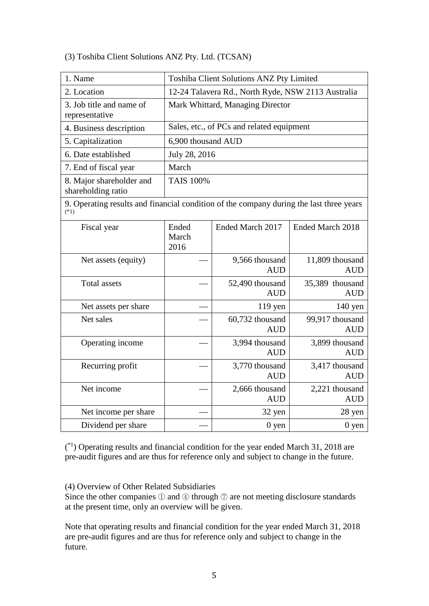|  |  |  | (3) Toshiba Client Solutions ANZ Pty. Ltd. (TCSAN) |
|--|--|--|----------------------------------------------------|
|  |  |  |                                                    |

| 1. Name                                                                                           | Toshiba Client Solutions ANZ Pty Limited           |                               |                               |
|---------------------------------------------------------------------------------------------------|----------------------------------------------------|-------------------------------|-------------------------------|
| 2. Location                                                                                       | 12-24 Talavera Rd., North Ryde, NSW 2113 Australia |                               |                               |
| 3. Job title and name of<br>representative                                                        | Mark Whittard, Managing Director                   |                               |                               |
| 4. Business description                                                                           | Sales, etc., of PCs and related equipment          |                               |                               |
| 5. Capitalization                                                                                 | 6,900 thousand AUD                                 |                               |                               |
| 6. Date established                                                                               | July 28, 2016                                      |                               |                               |
| 7. End of fiscal year                                                                             | March                                              |                               |                               |
| 8. Major shareholder and<br>shareholding ratio                                                    | <b>TAIS 100%</b>                                   |                               |                               |
| 9. Operating results and financial condition of the company during the last three years<br>$(*1)$ |                                                    |                               |                               |
| Fiscal year                                                                                       | Ended<br>March<br>2016                             | Ended March 2017              | Ended March 2018              |
| Net assets (equity)                                                                               |                                                    | 9,566 thousand<br><b>AUD</b>  | 11,809 thousand<br><b>AUD</b> |
| <b>Total assets</b>                                                                               |                                                    | 52,490 thousand<br><b>AUD</b> | 35,389 thousand<br><b>AUD</b> |
| Net assets per share                                                                              |                                                    | $119$ yen                     | $140$ yen                     |
| Net sales                                                                                         |                                                    | 60,732 thousand<br><b>AUD</b> | 99,917 thousand<br><b>AUD</b> |
| Operating income                                                                                  |                                                    | 3,994 thousand<br><b>AUD</b>  | 3,899 thousand<br><b>AUD</b>  |
| Recurring profit                                                                                  |                                                    | 3,770 thousand<br><b>AUD</b>  | 3,417 thousand<br><b>AUD</b>  |
| Net income                                                                                        |                                                    | 2,666 thousand<br><b>AUD</b>  | 2,221 thousand<br><b>AUD</b>  |
| Net income per share                                                                              |                                                    | 32 yen                        | 28 yen                        |
| Dividend per share                                                                                |                                                    | $0$ yen                       | $0$ yen                       |

 $(1)$  Operating results and financial condition for the year ended March 31, 2018 are pre-audit figures and are thus for reference only and subject to change in the future.

(4) Overview of Other Related Subsidiaries

Since the other companies  $\mathbb D$  and  $\mathbb Q$  through  $\mathbb D$  are not meeting disclosure standards at the present time, only an overview will be given.

Note that operating results and financial condition for the year ended March 31, 2018 are pre-audit figures and are thus for reference only and subject to change in the future.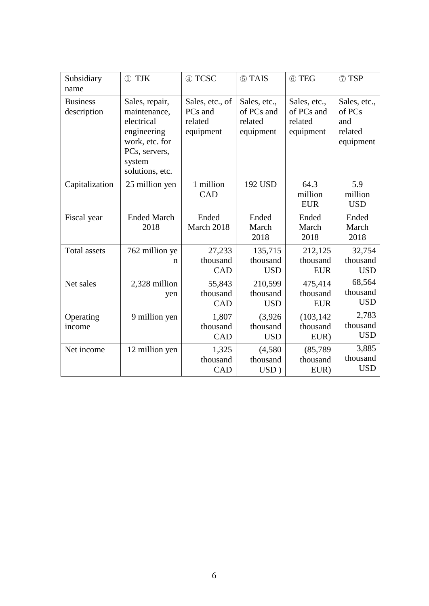| Subsidiary<br>name             | 1 TJK                                                                                                                       | 4 TCSC                                             | 5 TAIS                                             | 6 TEG                                              | $(7)$ TSP                                             |
|--------------------------------|-----------------------------------------------------------------------------------------------------------------------------|----------------------------------------------------|----------------------------------------------------|----------------------------------------------------|-------------------------------------------------------|
| <b>Business</b><br>description | Sales, repair,<br>maintenance,<br>electrical<br>engineering<br>work, etc. for<br>PCs, servers,<br>system<br>solutions, etc. | Sales, etc., of<br>PCs and<br>related<br>equipment | Sales, etc.,<br>of PCs and<br>related<br>equipment | Sales, etc.,<br>of PCs and<br>related<br>equipment | Sales, etc.,<br>of PCs<br>and<br>related<br>equipment |
| Capitalization                 | 25 million yen                                                                                                              | 1 million<br>CAD                                   | 192 USD                                            | 64.3<br>million<br><b>EUR</b>                      | 5.9<br>million<br><b>USD</b>                          |
| Fiscal year                    | <b>Ended March</b><br>2018                                                                                                  | Ended<br>March 2018                                | Ended<br>March<br>2018                             | Ended<br>March<br>2018                             | Ended<br>March<br>2018                                |
| <b>Total assets</b>            | 762 million ye<br>n                                                                                                         | 27,233<br>thousand<br>CAD                          | 135,715<br>thousand<br><b>USD</b>                  | 212,125<br>thousand<br><b>EUR</b>                  | 32,754<br>thousand<br><b>USD</b>                      |
| Net sales                      | 2,328 million<br>yen                                                                                                        | 55,843<br>thousand<br>CAD                          | 210,599<br>thousand<br><b>USD</b>                  | 475,414<br>thousand<br><b>EUR</b>                  | 68,564<br>thousand<br><b>USD</b>                      |
| Operating<br>income            | 9 million yen                                                                                                               | 1,807<br>thousand<br>CAD                           | (3,926)<br>thousand<br><b>USD</b>                  | (103, 142)<br>thousand<br>EUR)                     | 2,783<br>thousand<br><b>USD</b>                       |
| Net income                     | 12 million yen                                                                                                              | 1,325<br>thousand<br>CAD                           | (4,580)<br>thousand<br>$USD$ )                     | (85,789)<br>thousand<br>EUR)                       | 3,885<br>thousand<br><b>USD</b>                       |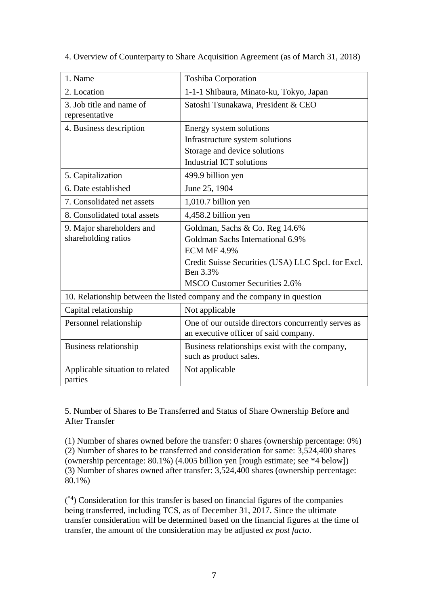| 1. Name                                                                 | <b>Toshiba Corporation</b>                                                                   |  |  |
|-------------------------------------------------------------------------|----------------------------------------------------------------------------------------------|--|--|
| 2. Location                                                             | 1-1-1 Shibaura, Minato-ku, Tokyo, Japan                                                      |  |  |
| 3. Job title and name of<br>representative                              | Satoshi Tsunakawa, President & CEO                                                           |  |  |
| 4. Business description                                                 | Energy system solutions                                                                      |  |  |
|                                                                         | Infrastructure system solutions                                                              |  |  |
|                                                                         | Storage and device solutions                                                                 |  |  |
|                                                                         | <b>Industrial ICT solutions</b>                                                              |  |  |
| 5. Capitalization                                                       | 499.9 billion yen                                                                            |  |  |
| 6. Date established                                                     | June 25, 1904                                                                                |  |  |
| 7. Consolidated net assets                                              | 1,010.7 billion yen                                                                          |  |  |
| 8. Consolidated total assets                                            | 4,458.2 billion yen                                                                          |  |  |
| 9. Major shareholders and                                               | Goldman, Sachs & Co. Reg 14.6%                                                               |  |  |
| shareholding ratios                                                     | Goldman Sachs International 6.9%                                                             |  |  |
|                                                                         | <b>ECM MF 4.9%</b>                                                                           |  |  |
|                                                                         | Credit Suisse Securities (USA) LLC Spcl. for Excl.<br>Ben 3.3%                               |  |  |
|                                                                         | <b>MSCO Customer Securities 2.6%</b>                                                         |  |  |
| 10. Relationship between the listed company and the company in question |                                                                                              |  |  |
| Capital relationship                                                    | Not applicable                                                                               |  |  |
| Personnel relationship                                                  | One of our outside directors concurrently serves as<br>an executive officer of said company. |  |  |
| Business relationship                                                   | Business relationships exist with the company,<br>such as product sales.                     |  |  |
| Applicable situation to related<br>parties                              | Not applicable                                                                               |  |  |

4. Overview of Counterparty to Share Acquisition Agreement (as of March 31, 2018)

5. Number of Shares to Be Transferred and Status of Share Ownership Before and After Transfer

(1) Number of shares owned before the transfer: 0 shares (ownership percentage: 0%) (2) Number of shares to be transferred and consideration for same: 3,524,400 shares (ownership percentage: 80.1%) (4.005 billion yen [rough estimate; see \*4 below]) (3) Number of shares owned after transfer: 3,524,400 shares (ownership percentage: 80.1%)

 $($ \*4) Consideration for this transfer is based on financial figures of the companies being transferred, including TCS, as of December 31, 2017. Since the ultimate transfer consideration will be determined based on the financial figures at the time of transfer, the amount of the consideration may be adjusted *ex post facto*.